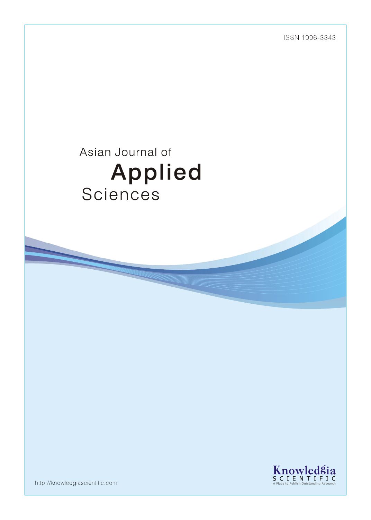ISSN 1996-3343

# Asian Journal of Applied Sciences



http://knowledgiascientific.com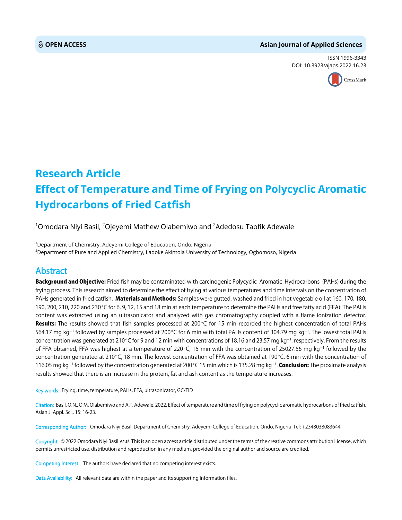# **OPEN ACCESS Asian Journal of Applied Sciences**

ISSN 1996-3343 DOI: 10.3923/ajaps.2022.16.23



# **Research Article Effect of Temperature and Time of Frying on Polycyclic Aromatic Hydrocarbons of Fried Catfish**

 $^{\rm 1}$ Omodara Niyi Basil,  $^{\rm 2}$ Ojeyemi Mathew Olabemiwo and  $^{\rm 2}$ Adedosu Taofik Adewale

<sup>1</sup>Department of Chemistry, Adeyemi College of Education, Ondo, Nigeria 2 Department of Pure and Applied Chemistry, Ladoke Akintola University of Technology, Ogbomoso, Nigeria

# Abstract

Background and Objective: Fried fish may be contaminated with carcinogenic Polycyclic Aromatic Hydrocarbons (PAHs) during the frying process. This research aimed to determine the effect of frying at various temperatures and time intervals on the concentration of PAHs generated in fried catfish. Materials and Methods: Samples were gutted, washed and fried in hot vegetable oil at 160, 170, 180, 190, 200, 210, 220 and 230°C for 6, 9, 12, 15 and 18 min at each temperature to determine the PAHs and free fatty acid (FFA). The PAHs content was extracted using an ultrasonicator and analyzed with gas chromatography coupled with a flame ionization detector. Results: The results showed that fish samples processed at 200 $\degree$ C for 15 min recorded the highest concentration of total PAHs 564.17 mg kg $^{-1}$  followed by samples processed at 200°C for 6 min with total PAHs content of 304.79 mg kg $^{-1}$ . The lowest total PAHs concentration was generated at 210°C for 9 and 12 min with concentrations of 18.16 and 23.57 mg kg<sup>-1</sup>, respectively. From the results of FFA obtained, FFA was highest at a temperature of 220°C, 15 min with the concentration of 25027.56 mg kg<sup>-1</sup> followed by the concentration generated at 210°C, 18 min. The lowest concentration of FFA was obtained at 190°C, 6 min with the concentration of 116.05 mg kg<sup>-1</sup> followed by the concentration generated at 200°C 15 min which is 135.28 mg kg<sup>-1</sup>. **Conclusion:** The proximate analysis results showed that there is an increase in the protein, fat and ash content as the temperature increases.

Key words: Frying, time, temperature, PAHs, FFA, ultrasonicator, GC/FID

Citation: Basil, O.N., O.M. Olabemiwo and A.T. Adewale, 2022. Effect of temperature and time of frying on polycyclic aromatic hydrocarbons of fried catfish. Asian J. Appl. Sci., 15: 16-23.

Corresponding Author: Omodara Niyi Basil, Department of Chemistry, Adeyemi College of Education, Ondo, Nigeria Tel: +2348038083644

Copyright: © 2022 Omodara Niyi Basil et al. This is an open access article distributed under the terms of the creative commons attribution License, which permits unrestricted use, distribution and reproduction in any medium, provided the original author and source are credited.

Competing Interest: The authors have declared that no competing interest exists.

Data Availability: All relevant data are within the paper and its supporting information files.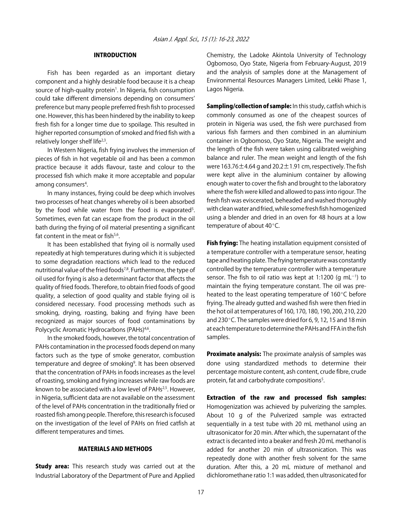# INTRODUCTION

Fish has been regarded as an important dietary component and a highly desirable food because it is a cheap source of high-quality protein<sup>1</sup>. In Nigeria, fish consumption could take different dimensions depending on consumers' preference but many people preferred fresh fish to processed one. However, this has been hindered by the inability to keep fresh fish for a longer time due to spoilage. This resulted in higher reported consumption of smoked and fried fish with a relatively longer shelf life<sup>2,3</sup>.

In Western Nigeria, fish frying involves the immersion of pieces of fish in hot vegetable oil and has been a common practice because it adds flavour, taste and colour to the processed fish which make it more acceptable and popular among consumers<sup>4</sup>.

In many instances, frying could be deep which involves two processes of heat changes whereby oil is been absorbed by the food while water from the food is evaporated<sup>5</sup>. Sometimes, even fat can escape from the product in the oil bath during the frying of oil material presenting a significant fat content in the meat or fish $5.6$ .

It has been established that frying oil is normally used repeatedly at high temperatures during which it is subjected to some degradation reactions which lead to the reduced nutritional value of the fried foods<sup>7,8</sup>. Furthermore, the type of oil used for frying is also a determinant factor that affects the quality of fried foods. Therefore, to obtain fried foods of good quality, a selection of good quality and stable frying oil is considered necessary. Food processing methods such as smoking, drying, roasting, baking and frying have been recognized as major sources of food contaminations by Polycyclic Aromatic Hydrocarbons (PAHs)<sup>4,6</sup>.

In the smoked foods, however, the total concentration of PAHs contamination in the processed foods depend on many factors such as the type of smoke generator, combustion temperature and degree of smoking<sup>9</sup>. It has been observed that the concentration of PAHs in foods increases as the level of roasting, smoking and frying increases while raw foods are known to be associated with a low level of PAHs<sup>2,5</sup>. However, in Nigeria, sufficient data are not available on the assessment of the level of PAHs concentration in the traditionally fried or roasted fish among people. Therefore, this research is focused on the investigation of the level of PAHs on fried catfish at different temperatures and times.

# MATERIALS AND METHODS

**Study area:** This research study was carried out at the Industrial Laboratory of the Department of Pure and Applied Chemistry, the Ladoke Akintola University of Technology Ogbomoso, Oyo State, Nigeria from February-August, 2019 and the analysis of samples done at the Management of Environmental Resources Managers Limited, Lekki Phase 1, Lagos Nigeria.

Sampling/collection of sample: In this study, catfish which is commonly consumed as one of the cheapest sources of protein in Nigeria was used, the fish were purchased from various fish farmers and then combined in an aluminium container in Ogbomoso, Oyo State, Nigeria. The weight and the length of the fish were taken using calibrated weighing balance and ruler. The mean weight and length of the fish were  $163.76 \pm 4.64$  g and  $20.2 \pm 1.91$  cm, respectively. The fish were kept alive in the aluminium container by allowing enough water to cover the fish and brought to the laboratory where the fish were killed and allowed to pass into rigour. The fresh fish was eviscerated, beheaded and washed thoroughly with clean water and fried, while some fresh fish homogenized using a blender and dried in an oven for 48 hours at a low temperature of about 40°C.

Fish frying: The heating installation equipment consisted of a temperature controller with a temperature sensor, heating tape and heating plate. The frying temperature was constantly controlled by the temperature controller with a temperature sensor. The fish to oil ratio was kept at 1:1200  $(g \ mL^{-1})$  to maintain the frying temperature constant. The oil was preheated to the least operating temperature of  $160^{\circ}$ C before frying. The already gutted and washed fish were then fried in the hot oil at temperatures of 160, 170, 180, 190, 200, 210, 220 and 230 $\degree$ C. The samples were dried for 6, 9, 12, 15 and 18 min at each temperature to determine the PAHs and FFA in the fish samples.

Proximate analysis: The proximate analysis of samples was done using standardized methods to determine their percentage moisture content, ash content, crude fibre, crude protein, fat and carbohydrate compositions<sup>5</sup>.

Extraction of the raw and processed fish samples: Homogenization was achieved by pulverizing the samples. About 10 g of the Pulverized sample was extracted sequentially in a test tube with 20 mL methanol using an ultrasonicator for 20 min. After which, the supernatant of the extract is decanted into a beaker and fresh 20 mL methanol is added for another 20 min of ultrasonication. This was repeatedly done with another fresh solvent for the same duration. After this, a 20 mL mixture of methanol and dichloromethane ratio 1:1 was added, then ultrasonicated for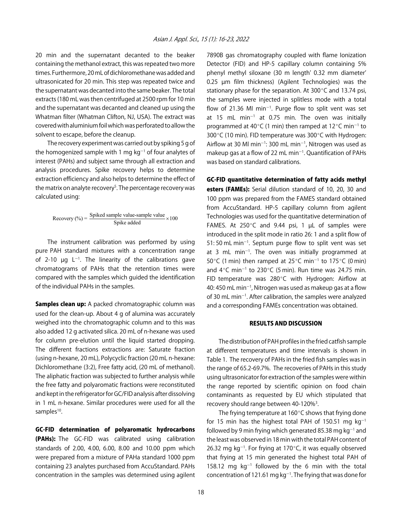20 min and the supernatant decanted to the beaker containing the methanol extract, this was repeated two more times. Furthermore, 20 mL of dichloromethane was added and ultrasonicated for 20 min. This step was repeated twice and the supernatant was decanted into the same beaker. The total extracts (180 mL was then centrifuged at 2500 rpm for 10 min and the supernatant was decanted and cleaned up using the Whatman filter (Whatman Clifton, NJ, USA). The extract was covered with aluminium foil which was perforated to allow the solvent to escape, before the cleanup.

The recovery experiment was carried out by spiking 5 g of the homogenized sample with 1 mg  $kg^{-1}$  of four analytes of interest (PAHs) and subject same through all extraction and analysis procedures. Spike recovery helps to determine extraction efficiency and also helps to determine the effect of the matrix on analyte recovery<sup>5</sup>. The percentage recovery was calculated using:

$$
Recovery (%) = \frac{Spiked sample value-sample value}{Spike added} \times 100
$$

The instrument calibration was performed by using pure PAH standard mixtures with a concentration range of 2-10  $\mu$ g L<sup>-1</sup>. The linearity of the calibrations gave chromatograms of PAHs that the retention times were compared with the samples which guided the identification of the individual PAHs in the samples.

Samples clean up: A packed chromatographic column was used for the clean-up. About 4 g of alumina was accurately weighed into the chromatographic column and to this was also added 12 g activated silica. 20 mL of n-hexane was used for column pre-elution until the liquid started dropping. The different fractions extractions are: Saturate fraction (using n-hexane, 20 mL), Polycyclic fraction (20 mL n-hexane: Dichloromethane (3:2), Free fatty acid, (20 mL of methanol). The aliphatic fraction was subjected to further analysis while the free fatty and polyaromatic fractions were reconstituted and kept in the refrigerator for GC/FID analysis after dissolving in 1 mL n-hexane. Similar procedures were used for all the samples<sup>10</sup>.

GC-FID determination of polyaromatic hydrocarbons (PAHs): The GC-FID was calibrated using calibration standards of 2.00, 4.00, 6.00, 8.00 and 10.00 ppm which were prepared from a mixture of PAHa standard 1000 ppm containing 23 analytes purchased from AccuStandard. PAHs concentration in the samples was determined using agilent 7890B gas chromatography coupled with flame Ionization Detector (FID) and HP-5 capillary column containing 5% phenyl methyl siloxane (30 m length' 0.32 mm diameter' 0.25 µm film thickness) (Agilent Technologies) was the stationary phase for the separation. At  $300^{\circ}$ C and 13.74 psi, the samples were injected in splitless mode with a total flow of 21.36 MI min<sup>-1</sup>. Purge flow to split vent was set at 15 mL min $^{-1}$  at 0.75 min. The oven was initially programmed at 40 $\degree$ C (1 min) then ramped at 12 $\degree$ C min<sup>-1</sup> to 300 $\degree$ C (10 min). FID temperature was 300 $\degree$ C with Hydrogen: Airflow at 30 Ml min<sup>-1</sup>: 300 mL min<sup>-1</sup>, Nitrogen was used as makeup gas at a flow of 22 mL min $^{-1}$ . Quantification of PAHs was based on standard calibrations.

GC-FID quantitative determination of fatty acids methyl esters (FAMEs): Serial dilution standard of 10, 20, 30 and 100 ppm was prepared from the FAMES standard obtained from AccuStandard. HP-5 capillary column from agilent Technologies was used for the quantitative determination of FAMES. At  $250^{\circ}$ C and 9.44 psi, 1  $\mu$ L of samples were introduced in the split mode in ratio 26: 1 and a split flow of  $51:50$  mL min<sup>-1</sup>. Septum purge flow to split vent was set at 3 mL min<sup>-1</sup>. The oven was initially programmed at 50 $\degree$ C (1 min) then ramped at 25 $\degree$ C min<sup>-1</sup> to 175 $\degree$ C (0 min) and  $4^{\circ}$ C min<sup>-1</sup> to 230 $^{\circ}$ C (5 min). Run time was 24.75 min. FID temperature was  $280^{\circ}$ C with Hydrogen: Airflow at 40: 450 mL min $^{-1}$ , Nitrogen was used as makeup gas at a flow of 30 mL min<sup>-1</sup>. After calibration, the samples were analyzed and a corresponding FAMEs concentration was obtained.

## RESULTS AND DISCUSSION

The distribution of PAH profiles in the fried catfish sample at different temperatures and time intervals is shown in Table 1. The recovery of PAHs in the fried fish samples was in the range of 65.2-69.7%. The recoveries of PAHs in this study using ultrasonicator for extraction of the samples were within the range reported by scientific opinion on food chain contaminants as requested by EU which stipulated that recovery should range between 40-120%<sup>3</sup>.

The frying temperature at  $160^{\circ}$ C shows that frying done for 15 min has the highest total PAH of 150.51 mg  $kg^{-1}$ followed by 9 min frying which generated 85.38 mg  $\rm kg^{-1}$  and the least was observed in 18 min with the total PAH content of 26.32 mg kg<sup>-1</sup>. For frying at 170 $^{\circ}$ C, it was equally observed that frying at 15 min generated the highest total PAH of 158.12 mg  $kg^{-1}$  followed by the 6 min with the total concentration of 121.61 mg kg<sup>-1</sup>. The frying that was done for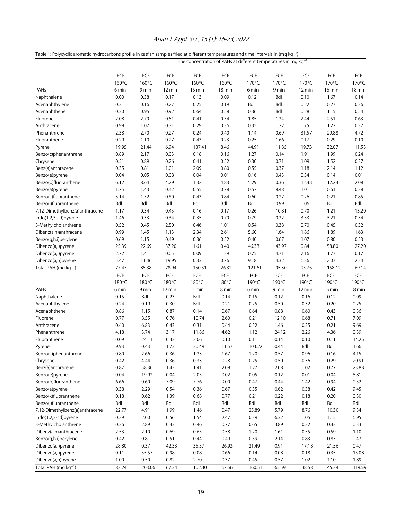# Asian J. Appl. Sci., 15 (1): 16-23, 2022

|  | Table 1: Polycyclic aromatic hydrocarbons profile in catfish samples fried at different temperatures and time intervals in (mg kg <sup>-1</sup> ) |  |
|--|---------------------------------------------------------------------------------------------------------------------------------------------------|--|
|  |                                                                                                                                                   |  |

|                                  | The concentration of PAHs at different temperatures in mg $kq^{-1}$ |        |        |        |        |        |       |        |                  |        |
|----------------------------------|---------------------------------------------------------------------|--------|--------|--------|--------|--------|-------|--------|------------------|--------|
|                                  | FCF                                                                 | FCF    | FCF    | FCF    | FCF    | FCF    | FCF   | FCF    | FCF              | FCF    |
|                                  | 160°C                                                               | 160°C  | 160°C  | 160°C  | 160°C  | 170°C  | 170°C | 170°C  | 170°C            | 170°C  |
| PAHs                             | 6 min                                                               | 9 min  | 12 min | 15 min | 18 min | 6 min  | 9 min | 12 min | 15 min           | 18 min |
| Naphthalene                      | 0.00                                                                | 0.38   | 0.17   | 0.13   | 0.09   | 0.12   | Bdl   | 0.10   | 1.67             | 0.14   |
| Acenaphthylene                   | 0.31                                                                | 0.16   | 0.27   | 0.25   | 0.19   | Bdl    | Bdl   | 0.22   | 0.27             | 0.36   |
| Acenaphthene                     | 0.30                                                                | 0.95   | 0.92   | 0.64   | 0.58   | 0.36   | Bdl   | 0.28   | 1.15             | 0.54   |
| Fluorene                         | 2.08                                                                | 2.79   | 0.51   | 0.41   | 0.54   | 1.85   | 1.34  | 2.44   | 2.51             | 0.63   |
| Anthracene                       | 0.99                                                                | 1.07   | 0.31   | 0.29   | 0.36   | 0.35   | 1.22  | 0.75   | 1.22             | 0.37   |
| Phenanthrene                     | 2.38                                                                | 2.70   | 0.27   | 0.24   | 0.40   | 1.14   | 0.69  | 31.57  | 29.88            | 4.72   |
| Fluoranthene                     | 0.29                                                                | 1.10   | 0.27   | 0.43   | 0.23   | 0.25   | 1.66  | 0.17   | 0.29             | 0.10   |
| Pyrene                           | 19.95                                                               | 21.44  | 6.94   | 137.41 | 8.46   | 44.91  | 11.85 | 19.73  | 32.07            | 11.53  |
| Benzo(c)phenanthrene             | 0.89                                                                | 2.17   | 0.03   | 0.18   | 0.16   | 1.27   | 0.14  | 1.91   | 1.99             | 0.24   |
| Chrysene                         | 0.51                                                                | 0.89   | 0.26   | 0.41   | 0.52   | 0.30   | 0.71  | 1.09   | 1.52             | 0.27   |
| Benz(a)anthracene                | 0.35                                                                | 0.81   | 1.01   | 2.09   | 0.80   | 0.55   | 0.37  | 1.18   | 2.14             | 1.12   |
| Benzo(e)pyrene                   | 0.04                                                                | 0.05   | 0.08   | 0.04   | 0.01   | 0.16   | 0.43  | 0.34   | 0.14             | 0.01   |
| Benzo(b)fluoranthene             | 6.12                                                                | 8.64   | 4.79   | 1.32   | 4.83   | 5.29   | 0.36  | 12.43  | 12.24            | 2.08   |
| Benzo(a)pyrene                   | 1.75                                                                | 1.43   | 0.42   | 0.55   | 0.78   | 0.57   | 8.48  | 1.01   | 0.61             | 0.38   |
| Benzo(k)fluoranthene             | 3.14                                                                | 1.52   | 0.60   | 0.43   | 0.84   | 0.60   | 0.27  | 0.26   | 0.21             | 0.85   |
| Benzo(j)fluoranthene             | Bdl                                                                 | Bdl    | Bdl    | Bdl    | Bdl    | Bdl    | 0.99  | 0.06   | Bdl              | Bdl    |
| 7,12-Dimethylbenz(a)anthracene   | 1.17                                                                | 0.34   | 0.45   | 0.16   | 0.17   | 0.26   | 10.81 | 0.70   | 1.21             | 13.20  |
| Indo(1.2,3-cd)pyrene             | 1.46                                                                | 0.33   | 0.34   | 0.35   | 0.79   | 0.79   | 0.32  | 3.53   | 3.21             | 0.54   |
| 3-Methylcholanthrene             | 0.52                                                                | 0.45   | 2.50   | 0.46   | 1.01   | 0.54   | 0.38  | 0.70   | 0.45             | 0.32   |
| Dibenz(a,h)anthracene            | 0.99                                                                | 1.45   | 1.13   | 2.34   | 2.61   | 5.60   | 1.64  | 1.86   | 1.89             | 1.63   |
| Benzo(g,h,i)perylene             | 0.69                                                                | 1.15   | 0.49   | 0.36   | 0.52   | 0.40   | 0.67  | 1.07   | 0.80             | 0.53   |
| Dibenzo(a,l)pyrene               | 25.39                                                               | 22.69  | 37.20  | 1.61   | 0.40   | 46.38  | 43.97 | 0.84   | 58.80            | 27.20  |
| Dibenzo(a,i)pyrene               | 2.72                                                                | 1.41   | 0.05   | 0.09   | 1.29   | 0.75   | 4.71  | 7.16   | 1.77             | 0.17   |
|                                  | 5.47                                                                | 11.46  | 19.95  | 0.33   | 0.76   | 9.18   | 4.32  | 6.36   | 2.07             | 2.24   |
| Dibenzo(a,h)pyrene               | 77.47                                                               |        |        |        |        |        |       |        |                  |        |
| Total PAH (mg kg <sup>-1</sup> ) |                                                                     | 85.38  | 78.94  | 150.51 | 26.32  | 121.61 | 95.30 | 95.75  | 158.12           | 69.14  |
|                                  | FCF                                                                 | FCF    | FCF    | FCF    | FCF    | FCF    | FCF   | FCF    | FCF              | FCF    |
|                                  | 180°C                                                               | 180°C  | 180°C  | 180°C  | 180°C  | 190°C  | 190°C | 190°C  | 190°C            | 190°C  |
| PAHs                             | 6 min                                                               | 9 min  | 12 min | 15 min | 18 min | 6 min  | 9 min | 12 min | $15 \text{ min}$ | 18 min |
| Naphthalene                      | 0.15                                                                | Bdl    | 0.23   | Bdl    | 0.14   | 0.15   | 0.12  | 0.16   | 0.12             | 0.09   |
| Acenaphthylene                   | 0.24                                                                | 0.19   | 0.30   | Bdl    | 0.21   | 0.25   | 0.50  | 0.32   | 0.20             | 0.25   |
| Acenaphthene                     | 0.86                                                                | 1.15   | 0.87   | 0.14   | 0.67   | 0.64   | 0.88  | 0.60   | 0.43             | 0.36   |
| Fluorene                         | 0.77                                                                | 8.55   | 0.76   | 10.74  | 2.60   | 0.21   | 12.10 | 0.68   | 0.71             | 7.09   |
| Anthracene                       | 0.40                                                                | 6.83   | 0.43   | 0.31   | 0.44   | 0.22   | 1.46  | 0.25   | 0.21             | 9.69   |
| Phenanthrene                     | 4.18                                                                | 3.74   | 3.17   | 11.86  | 4.62   | 1.12   | 24.12 | 2.26   | 4.36             | 0.39   |
| Fluoranthene                     | 0.09                                                                | 24.11  | 0.33   | 2.06   | 0.10   | 0.11   | 0.14  | 0.10   | 0.11             | 14.25  |
| Pyrene                           | 9.93                                                                | 0.43   | 1.73   | 20.49  | 11.57  | 103.22 | 0.44  | Bdl    | Bdl              | 1.66   |
| Benzo(c)phenanthrene             | 0.80                                                                | 2.66   | 0.36   | 1.23   | 1.67   | 1.20   | 0.57  | 0.96   | 0.16             | 4.15   |
| Chrysene                         | 0.42                                                                | 4.44   | 0.36   | 0.33   | 0.28   | 0.25   | 0.50  | 0.36   | 0.29             | 20.91  |
| Benz(a)anthracene                | 0.87                                                                | 58.36  | 1.43   | 1.41   | 2.09   | 1.27   | 2.08  | 1.02   | 0.77             | 23.83  |
| Benzo(e)pyrene                   | 0.04                                                                | 19.92  | 0.04   | 2.05   | 0.02   | 0.05   | 0.12  | 0.01   | 0.04             | 5.81   |
| Benzo(b)fluoranthene             | 6.66                                                                | 0.60   | 7.09   | 7.76   | 9.00   | 0.47   | 0.44  | 1.42   | 0.94             | 0.52   |
| Benzo(a)pyrene                   | 0.38                                                                | 2.29   | 0.54   | 0.36   | 0.67   | 0.35   | 0.62  | 0.38   | 0.42             | 9.45   |
| Benzo(k)fluoranthene             | 0.18                                                                | 0.62   | 1.39   | 0.68   | 0.77   | 0.21   | 0.22  | 0.18   | 0.20             | 0.30   |
| Benzo(j)fluoranthene             | Bdl                                                                 | Bdl    | Bdl    | Bdl    | Bdl    | Bdl    | Bdl   | Bdl    | Bdl              | Bdl    |
| 7,12-Dimethylbenz(a)anthracene   | 22.77                                                               | 4.91   | 1.99   | 1.46   | 0.47   | 25.89  | 5.79  | 8.76   | 10.30            | 9.34   |
| Indo(1.2,3-cd)pyrene             | 0.29                                                                | 2.00   | 0.56   | 1.54   | 2.47   | 0.39   | 6.32  | 1.05   | 1.15             | 6.95   |
| 3-Methylcholanthrene             | 0.36                                                                | 2.89   | 0.43   | 0.46   | 0.77   | 0.65   | 3.89  | 0.32   | 0.42             | 0.33   |
| Dibenz(a,h)anthracene            | 2.53                                                                | 2.10   | 0.69   | 0.65   | 0.58   | 1.20   | 1.61  | 0.55   | 0.59             | 1.10   |
| Benzo(g,h,i)perylene             | 0.42                                                                | 0.81   | 0.51   | 0.44   | 0.49   | 0.59   | 2.14  | 0.83   | 0.83             | 0.47   |
| Dibenzo(a,l)pyrene               | 28.80                                                               | 0.37   | 42.33  | 35.57  | 26.93  | 21.49  | 0.91  | 17.18  | 21.56            | 0.47   |
| Dibenzo(a,i)pyrene               | 0.11                                                                | 55.57  | 0.98   | 0.08   | 0.66   | 0.14   | 0.08  | 0.18   | 0.35             | 15.03  |
| Dibenzo(a,h)pyrene               | 1.00                                                                | 0.50   | 0.82   | 2.70   | 0.37   | 0.45   | 0.57  | 1.02   | 1.10             | 1.89   |
| Total PAH (mg kg <sup>-1</sup> ) | 82.24                                                               | 203.06 | 67.34  | 102.30 | 67.56  | 160.51 | 65.59 | 38.58  | 45.24            | 119.59 |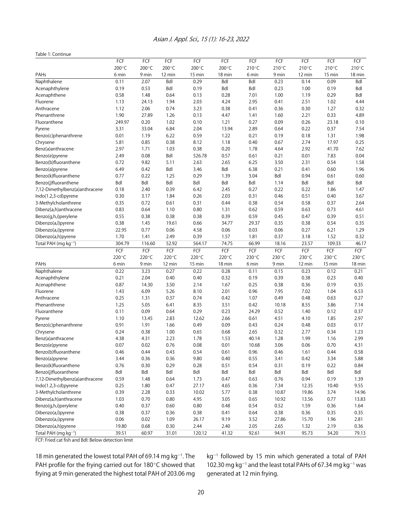#### Table 1: Continue

|                                  | FCF    | FCF    | FCF    | FCF    | FCF        | FCF   | FCF             | FCF    | FCF    | FCF    |
|----------------------------------|--------|--------|--------|--------|------------|-------|-----------------|--------|--------|--------|
|                                  | 200°C  | 200°C  | 200°C  | 200°C  | 200°C      | 210°C | $210^{\circ}$ C | 210°C  | 210°C  | 210°C  |
| PAHs                             | 6 min  | 9 min  | 12 min | 15 min | 18 min     | 6 min | 9 min           | 12 min | 15 min | 18 min |
| Naphthalene                      | 0.11   | 2.07   | Bdl    | 0.29   | <b>Bdl</b> | Bdl   | 0.23            | 0.14   | 0.09   | Bdl    |
| Acenaphthylene                   | 0.19   | 0.53   | Bdl    | 0.19   | Bdl        | Bdl   | 0.23            | 1.00   | 0.19   | Bdl    |
| Acenaphthene                     | 0.58   | 1.48   | 0.64   | 0.13   | 0.28       | 7.01  | 1.00            | 1.19   | 0.29   | Bdl    |
| Fluorene                         | 1.13   | 24.13  | 1.94   | 2.03   | 4.24       | 2.95  | 0.41            | 2.51   | 1.02   | 4.44   |
| Anthracene                       | 1.12   | 2.06   | 0.74   | 3.23   | 0.38       | 0.41  | 0.36            | 0.30   | 1.27   | 0.32   |
| Phenanthrene                     | 1.90   | 27.89  | 1.26   | 0.13   | 4.47       | 1.41  | 1.60            | 2.21   | 0.33   | 4.89   |
| Fluoranthene                     | 249.97 | 0.20   | 1.02   | 0.10   | 1.21       | 0.27  | 0.09            | 0.26   | 23.18  | 0.10   |
| Pyrene                           | 3.31   | 33.04  | 6.84   | 2.04   | 13.94      | 2.89  | 0.64            | 0.22   | 0.37   | 7.54   |
| Benzo(c)phenanthrene             | 0.01   | 1.19   | 6.22   | 0.59   | 1.22       | 0.21  | 0.19            | 0.18   | 1.31   | 1.98   |
| Chrysene                         | 5.81   | 0.85   | 0.38   | 8.12   | 1.18       | 0.40  | 0.67            | 2.74   | 17.97  | 0.25   |
| Benz(a)anthracene                | 2.97   | 1.71   | 1.03   | 0.38   | 0.20       | 1.78  | 4.64            | 2.92   | 41.70  | 7.62   |
| Benzo(e)pyrene                   | 2.49   | 0.08   | Bdl    | 526.78 | 0.57       | 0.61  | 0.21            | 0.01   | 7.83   | 0.04   |
| Benzo(b)fluoranthene             | 0.72   | 9.82   | 5.11   | 2.63   | 2.65       | 6.25  | 3.50            | 2.31   | 0.54   | 1.58   |
| Benzo(a)pyrene                   | 6.49   | 0.42   | Bdl    | 3.46   | Bdl        | 6.38  | 0.21            | 0.41   | 0.60   | 1.96   |
| Benzo(k)fluoranthene             | 0.77   | 0.22   | 1.25   | 0.29   | 1.39       | 3.04  | Bdl             | 0.94   | 0.61   | 0.60   |
| Benzo(j)fluoranthene             | Bdl    | Bdl    | Bdl    | Bdl    | <b>Bdl</b> | Bdl   | 1.14            | Bdl    | Bdl    | Bdl    |
| 7,12-Dimethylbenz(a)anthracene   | 0.18   | 2.40   | 0.39   | 6.42   | 2.45       | 0.27  | 0.22            | 0.22   | 1.86   | 1.47   |
| Indo(1.2,3-cd)pyrene             | 0.30   | 3.17   | 1.84   | 0.26   | 2.03       | 0.31  | 0.46            | 0.51   | 0.40   | 3.67   |
| 3-Methylcholanthrene             | 0.35   | 0.72   | 0.61   | 0.31   | 0.44       | 0.38  | 0.54            | 0.58   | 0.37   | 2.64   |
| Dibenz(a,h)anthracene            | 0.83   | 0.64   | 1.10   | 0.80   | 1.31       | 0.62  | 0.59            | 0.63   | 0.73   | 4.61   |
| Benzo(q,h,i)perylene             | 0.55   | 0.38   | 0.38   | 0.38   | 0.39       | 0.59  | 0.45            | 0.47   | 0.39   | 0.51   |
| Dibenzo(a,l)pyrene               | 0.38   | 1.45   | 19.61  | 0.66   | 34.77      | 29.37 | 0.35            | 0.38   | 0.54   | 0.35   |
| Dibenzo(a,i)pyrene               | 22.95  | 0.77   | 0.06   | 4.58   | 0.06       | 0.03  | 0.06            | 0.27   | 6.21   | 1.29   |
| Dibenzo(a,h)pyrene               | 1.70   | 1.41   | 2.49   | 0.39   | 1.57       | 1.81  | 0.37            | 3.18   | 1.52   | 0.32   |
| Total PAH (mg kg <sup>-1</sup> ) | 304.79 | 116.60 | 52.92  | 564.17 | 74.75      | 66.99 | 18.16           | 23.57  | 109.33 | 46.17  |
|                                  | FCF    | FCF    | FCF    | FCF    | FCF        | FCF   | FCF             | FCF    | FCF    | FCF    |
|                                  | 220°C  | 220°C  | 220°C  | 220°C  | 220°C      | 230°C | 230°C           | 230°C  | 230°C  | 230°C  |
| PAHs                             | 6 min  | 9 min  | 12 min | 15 min | 18 min     | 6 min | 9 min           | 12 min | 15 min | 18 min |
| Naphthalene                      | 0.22   | 3.23   | 0.27   | 0.22   | 0.28       | 0.11  | 0.15            | 0.23   | 0.12   | 0.21   |
| Acenaphthylene                   | 0.21   | 2.04   | 0.40   | 0.40   | 0.32       | 0.19  | 0.39            | 0.38   | 0.23   | 0.40   |
| Acenaphthene                     | 0.87   | 14.30  | 3.50   | 2.14   | 1.67       | 0.25  | 0.38            | 0.36   | 0.19   | 0.35   |
| Fluorene                         | 1.43   | 6.09   | 5.26   | 8.10   | 2.01       | 0.96  | 7.95            | 7.02   | 1.04   | 6.53   |
| Anthracene                       | 0.25   | 1.31   | 0.37   | 0.74   | 0.42       | 1.07  | 0.49            | 0.48   | 0.63   | 0.27   |
| Phenanthrene                     | 1.25   | 5.05   | 6.41   | 8.35   | 3.51       | 0.42  | 10.18           | 8.55   | 3.86   | 7.14   |
| Fluoranthene                     | 0.11   | 0.09   | 0.64   | 0.29   | 0.23       | 24.29 | 0.52            | 1.40   | 0.12   | 0.37   |
| Pyrene                           | 1.10   | 13.45  | 2.83   | 12.62  | 2.66       | 0.61  | 4.51            | 4.10   | 1.85   | 2.97   |
| Benzo(c)phenanthrene             | 0.91   | 1.91   | 1.66   | 0.49   | 0.09       | 0.43  | 0.24            | 0.48   | 0.03   | 0.17   |
| Chrysene                         | 0.24   | 0.38   | 1.00   | 0.65   | 0.68       | 2.65  | 0.32            | 2.77   | 0.34   | 1.23   |
| Benz(a)anthracene                | 4.38   | 4.31   | 2.23   | 1.78   | 1.53       | 40.14 | 1.28            | 1.99   | 1.16   | 2.99   |
| Benzo(e)pyrene                   | 0.07   | 0.02   | 0.76   | 0.08   | 0.01       | 10.68 | 3.06            | 0.06   | 0.70   | 4.31   |
| Benzo(b)fluoranthene             | 0.46   | 0.44   | 0.43   | 0.54   | 0.61       | 0.96  | 0.46            | 1.61   | 0.44   | 0.58   |
| Benzo(a)pyrene                   | 3.44   | 0.36   | 0.36   | 9.80   | 0.40       | 0.55  | 3.41            | 0.42   | 3.34   | 5.88   |
| Benzo(k)fluoranthene             | 0.76   | 0.30   | 0.29   | 0.28   | 0.51       | 0.54  | 0.31            | 0.19   | 0.22   | 0.84   |
| Benzo(j)fluoranthene             | Bdl    | Bdl    | Bdl    | Bdl    | Bdl        | Bdl   | Bdl             | Bdl    | Bdl    | Bdl    |
| 7,12-Dimethylbenz(a)anthracene   | 0.59   | 1.48   | 0.64   | 1.73   | 0.47       | 0.63  | 0.76            | 0.94   | 0.19   | 1.39   |
| Indo(1.2,3-cd)pyrene             | 0.25   | 1.80   | 0.47   | 27.17  | 4.65       | 0.36  | 7.34            | 12.35  | 10.40  | 9.55   |
| 3-Methylcholanthrene             | 0.39   | 2.28   | 0.33   | 10.02  | 5.77       | 0.38  | 10.87           | 19.86  | 3.74   | 14.96  |
| Dibenz(a,h)anthracene            | 1.03   | 0.70   | 0.80   | 4.95   | 3.05       | 0.65  | 10.92           | 13.56  | 0.77   | 13.83  |
| Benzo(g,h,i)perylene             | 0.40   | 0.37   | 0.60   | 0.80   | 0.48       | 0.54  | 0.52            | 1.59   | 0.36   | 1.64   |
| Dibenzo(a,l)pyrene               | 0.38   | 0.37   | 0.36   | 0.38   | 0.41       | 0.64  | 0.38            | 0.36   | 0.35   | 0.35   |
| Dibenzo(a,i)pyrene               | 0.06   | 0.02   | 1.09   | 26.17  | 9.19       | 3.52  | 27.86           | 15.70  | 1.96   | 2.81   |
| Dibenzo(a,h)pyrene               | 19.80  | 0.68   | 0.30   | 2.44   | 2.40       | 2.05  | 2.65            | 1.32   | 2.19   | 0.36   |
| Total PAH (mg kg <sup>-1</sup> ) | 39.51  | 60.97  | 31.01  | 120.12 | 41.32      | 92.61 | 94.91           | 95.73  | 34.20  | 79.13  |
|                                  |        |        |        |        |            |       |                 |        |        |        |

FCF: Fried cat fish and Bdl: Below detection limit

18 min generated the lowest total PAH of 69.14 mg  $kg^{-1}$ . The PAH profile for the frying carried out for 180 $^{\circ}$ C showed that frying at 9 min generated the highest total PAH of 203.06 mg

 $kg^{-1}$  followed by 15 min which generated a total of PAH 102.30 mg kg<sup>-1</sup> and the least total PAHs of 67.34 mg kg<sup>-1</sup> was generated at 12 min frying.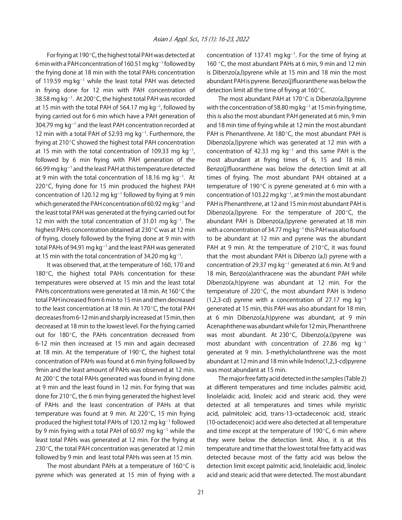For frying at 190 $^{\circ}$ C, the highest total PAH was detected at 6 min with a PAH concentration of 160.51 mg kg $^{-1}$  followed by the frying done at 18 min with the total PAHs concentration of 119.59 mg kg<sup>-1</sup> while the least total PAH was detected in frying done for 12 min with PAH concentration of 38.58 mg kg $^{-1}$ . At 200 $^{\circ}$ C, the highest total PAH was recorded at 15 min with the total PAH of 564.17 mg  $kg^{-1}$ , followed by frying carried out for 6 min which have a PAH generation of 304.79 mg  $kg^{-1}$  and the least PAH concentration recorded at 12 min with a total PAH of 52.93 mg  $kg<sup>-1</sup>$ . Furthermore, the frying at  $210^{\circ}$ C showed the highest total PAH concentration at 15 min with the total concentration of 109.33 mg  $kg^{-1}$ , followed by 6 min frying with PAH generation of the  $66.99$  mg kg<sup>-1</sup> and the least PAH at this temperature detected at 9 min with the total concentration of 18.16 mg  $kg^{-1}$ . At 220 $\degree$ C, frying done for 15 min produced the highest PAH concentration of 120.12 mg  $kg^{-1}$  followed by frying at 9 min which generated the PAH concentration of 60.92 mg kg $^{\rm -1}$  and the least total PAH was generated at the frying carried out for 12 min with the total concentration of 31.01 mg  $kg^{-1}$ . The highest PAHs concentration obtained at 230 $\degree$ C was at 12 min of frying, closely followed by the frying done at 9 min with total PAHs of 94.91 mg kg $^{-1}$  and the least PAH was generated at 15 min with the total concentration of 34.20 mg  $kg^{-1}$ .

It was observed that, at the temperature of 160, 170 and 180 $^{\circ}$ C, the highest total PAHs concentration for these temperatures were observed at 15 min and the least total PAHs concentrations were generated at 18 min. At 160 $\degree$ C the total PAH increased from 6 min to 15 min and then decreased to the least concentration at 18 min. At 170 $^{\circ}$ C, the total PAH decreases from 6-12 min and sharply increased at 15 min, then decreased at 18 min to the lowest level. For the frying carried out for 180°C, the PAHs concentration decreased from 6-12 min then increased at 15 min and again decreased at 18 min. At the temperature of 190 $\degree$ C, the highest total concentration of PAHs was found at 6 min frying followed by 9min and the least amount of PAHs was observed at 12 min. At 200 $\degree$ C the total PAHs generated was found in frying done at 9 min and the least found in 12 min. For frying that was done for 210 $\degree$ C, the 6 min frying generated the highest level of PAHs and the least concentration of PAHs at that temperature was found at 9 min. At 220 $\degree$ C, 15 min frying produced the highest total PAHs of 120.12 mg  $kg^{-1}$  followed by 9 min frying with a total PAH of 60.97 mg  $kg^{-1}$  while the least total PAHs was generated at 12 min. For the frying at 230 $\degree$ C, the total PAH concentration was generated at 12 min followed by 9 min and least total PAHs was seen at 15 min.

The most abundant PAHs at a temperature of  $160^{\circ}$ C is pyrene which was generated at 15 min of frying with a

concentration of 137.41 mg  $kg^{-1}$ . For the time of frying at 160 $\degree$ C, the most abundant PAHs at 6 min, 9 min and 12 min is Dibenzo(a,l)pyrene while at 15 min and 18 min the most abundant PAH is pyrene. Benzo(j)fluoranthene was below the detection limit all the time of frying at  $160^{\circ}$ C.

The most abundant PAH at 170 $\degree$ C is Dibenzo(a,l)pyrene with the concentration of 58.80 mg kg $^{-1}$  at 15 min frying time, this is also the most abundant PAH generated at 6 min, 9 min and 18 min time of frying while at 12 min the most abundant PAH is Phenanthrene. At 180 $^{\circ}$ C, the most abundant PAH is Dibenzo(a,l)pyrene which was generated at 12 min with a concentration of 42.33 mg  $kg^{-1}$  and this same PAH is the most abundant at frying times of 6, 15 and 18 min. Benzo(j)fluoranthene was below the detection limit at all times of frying. The most abundant PAH obtained at a temperature of 190 $^{\circ}$ C is pyrene generated at 6 min with a concentration of 103.22 mg kg $^{-1}$ , at 9 min the most abundant PAH is Phenanthrene, at 12 and 15 min most abundant PAH is Dibenzo(a,l)pyrene. For the temperature of 200 $\degree$ C, the abundant PAH is Dibenzo(a,l)pyrene generated at 18 min with a concentration of 34.77 mg kg $^{-1}$  this PAH was also found to be abundant at 12 min and pyrene was the abundant PAH at 9 min. At the temperature of  $210^{\circ}$ C, it was found that the most abundant PAH is Dibenzo (a,l) pyrene with a concentration of 29.37 mg  $kg^{-1}$  generated at 6 min. At 9 and 18 min, Benzo(a)anthracene was the abundant PAH while Dibenzo(a,h)pyrene was abundant at 12 min. For the temperature of  $220^{\circ}$ C, the most abundant PAH is Indeno (1,2,3-cd) pyrene with a concentration of 27.17 mg  $kg^{-1}$ generated at 15 min, this PAH was also abundant for 18 min, at 6 min Dibenzo(a,h)pyrene was abundant, at 9 min Acenaphthene was abundant while for 12 min, Phenanthrene was most abundant. At  $230^{\circ}$ C, Dibenzo(a,i)pyrene was most abundant with concentration of 27.86 mg  $kg^{-1}$ generated at 9 min. 3-methylcholanthrene was the most abundant at 12 min and 18 min while Indeno(1,2,3-cd)pyrene was most abundant at 15 min.

The major free fatty acid detected in the samples (Table 2) at different temperatures and time includes palmitic acid, linolelaidic acid, linoleic acid and stearic acid, they were detected at all temperatures and times while myristic acid, palmitoleic acid, trans-13-octadecenoic acid, stearic (10-octadecenoic) acid were also detected at all temperature and time except at the temperature of  $190^{\circ}$ C, 6 min where they were below the detection limit. Also, it is at this temperature and time that the lowest total free fatty acid was detected because most of the fatty acid was below the detection limit except palmitic acid, linolelaidic acid, linoleic acid and stearic acid that were detected. The most abundant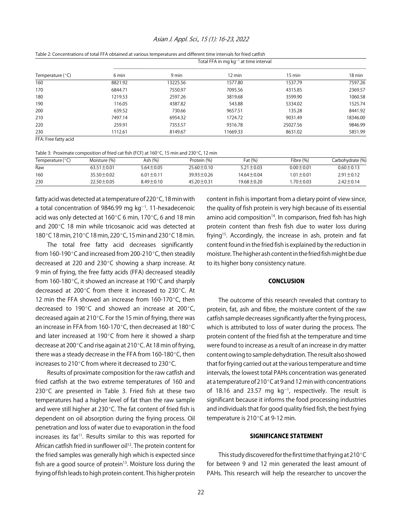## Asian J. Appl. Sci., 15 (1): 16-23, 2022

|                    |         |          | Table 2: Concentrations of total FFA obtained at various temperatures and different time intervals for med cathsh<br>Total FFA in mg $kg^{-1}$ at time interval |                  |          |
|--------------------|---------|----------|-----------------------------------------------------------------------------------------------------------------------------------------------------------------|------------------|----------|
|                    |         |          |                                                                                                                                                                 |                  |          |
| Temperature $(°C)$ | 6 min   | 9 min    | 12 min                                                                                                                                                          | $15 \text{ min}$ | 18 min   |
| 160                | 8821.92 | 13225.56 | 1577.80                                                                                                                                                         | 1537.79          | 7597.26  |
| 170                | 6844.71 | 7550.97  | 7095.56                                                                                                                                                         | 4315.85          | 2369.57  |
| 180                | 1219.53 | 2597.26  | 3819.68                                                                                                                                                         | 3599.90          | 1060.58  |
| 190                | 116.05  | 4387.82  | 543.88                                                                                                                                                          | 5334.02          | 1525.74  |
| 200                | 639.52  | 730.66   | 9657.51                                                                                                                                                         | 135.28           | 8441.92  |
| 210                | 7497.14 | 6954.32  | 1724.72                                                                                                                                                         | 9031.49          | 18346.00 |
| 220                | 259.91  | 7353.57  | 9316.78                                                                                                                                                         | 25027.56         | 9846.99  |
| 230                | 1112.61 | 8149.67  | 11669.33                                                                                                                                                        | 8631.02          | 5851.99  |

| Table 2: Concentrations of total FFA obtained at various temperatures and different time intervals for fried catfish |  |
|----------------------------------------------------------------------------------------------------------------------|--|
|----------------------------------------------------------------------------------------------------------------------|--|

FFA: Free fatty acid

| Table 3: Proximate composition of fried cat fish (FCF) at $160^{\circ}$ C, 15 min and 230 $^{\circ}$ C, 12 min |  |  |
|----------------------------------------------------------------------------------------------------------------|--|--|
|----------------------------------------------------------------------------------------------------------------|--|--|

| Temperature $(°C)$ | Moisture (%)     | Ash (%)         | Protein (%)      | Fat (%)          | Fibre (%)       | Carbohydrate (%) |
|--------------------|------------------|-----------------|------------------|------------------|-----------------|------------------|
| Raw                | $63.51 \pm 0.01$ | $5.64 \pm 0.05$ | $25.60 \pm 0.10$ | $5.21 \pm 0.03$  | $0.00 + 0.01$   | $0.60 + 0.13$    |
| 160                | $35.50 \pm 0.02$ | $6.01 \pm 0.11$ | $39.93 \pm 0.26$ | $14.64 \pm 0.04$ | $1.01 \pm 0.01$ | $2.91 \pm 0.12$  |
| 230                | $22.50 \pm 0.05$ | $8.49 \pm 0.10$ | $45.20 \pm 0.31$ | 19.68±0.20       | 1.70±0.03       | $2.42 \pm 0.14$  |

fatty acid was detected at a temperature of 220 $\degree$ C, 18 min with a total concentration of 9846.99 mg  $kg<sup>-1</sup>$ . 11-hexadecenoic acid was only detected at 160 $\degree$ C 6 min, 170 $\degree$ C, 6 and 18 min and 200 $\degree$ C 18 min while tricosanoic acid was detected at 180°C 18 min, 210°C 18 min, 220°C, 15 min and 230°C 18 min.

The total free fatty acid decreases significantly from 160-190 $\degree$ C and increased from 200-210 $\degree$ C, then steadily decreased at 220 and 230 $^{\circ}$ C showing a sharp increase. At 9 min of frying, the free fatty acids (FFA) decreased steadily from 160-180 $\degree$ C, it showed an increase at 190 $\degree$ C and sharply decreased at 200 $^{\circ}$ C from there it increased to 230 $^{\circ}$ C. At 12 min the FFA showed an increase from  $160-170^{\circ}$ C, then decreased to 190 $^{\circ}$ C and showed an increase at 200 $^{\circ}$ C, decreased again at 210 $^{\circ}$ C. For the 15 min of frying, there was an increase in FFA from 160-170 $^{\circ}$ C, then decreased at 180 $^{\circ}$ C and later increased at 190 $^{\circ}$ C from here it showed a sharp decrease at 200 $^{\circ}$ C and rise again at 210 $^{\circ}$ C. At 18 min of frying, there was a steady decrease in the FFA from  $160-180^{\circ}$ C, then increases to 210 $^{\circ}$ C from where it decreased to 230 $^{\circ}$ C.

Results of proximate composition for the raw catfish and fried catfish at the two extreme temperatures of 160 and 230 $\degree$ C are presented in Table 3. Fried fish at these two temperatures had a higher level of fat than the raw sample and were still higher at 230 $^{\circ}$ C. The fat content of fried fish is dependent on oil absorption during the frying process. Oil penetration and loss of water due to evaporation in the food increases its fat<sup>11</sup>. Results similar to this was reported for African catfish fried in sunflower oil<sup>12</sup>. The protein content for the fried samples was generally high which is expected since fish are a good source of protein $13$ . Moisture loss during the frying of fish leads to high protein content. This higher protein

content in fish is important from a dietary point of view since, the quality of fish protein is very high because of its essential amino acid composition<sup>14</sup>. In comparison, fried fish has high protein content than fresh fish due to water loss during frying<sup>15</sup>. Accordingly, the increase in ash, protein and fat content found in the fried fish is explained by the reduction in moisture. The higher ash content in the fried fish might be due to its higher bony consistency nature.

# **CONCLUSION**

The outcome of this research revealed that contrary to protein, fat, ash and fibre, the moisture content of the raw catfish sample decreases significantly after the frying process, which is attributed to loss of water during the process. The protein content of the fried fish at the temperature and time were found to increase as a result of an increase in dry matter content owing to sample dehydration. The result also showed that for frying carried out at the various temperature and time intervals, the lowest total PAHs concentration was generated at a temperature of 210 $^{\circ}$ C at 9 and 12 min with concentrations of 18.16 and 23.57 mg  $kg^{-1}$ , respectively. The result is significant because it informs the food processing industries and individuals that for good quality fried fish, the best frying temperature is  $210^{\circ}$ C at 9-12 min.

# SIGNIFICANCE STATEMENT

This study discovered for the first time that frying at 210 $^{\circ}$ C for between 9 and 12 min generated the least amount of PAHs. This research will help the researcher to uncover the